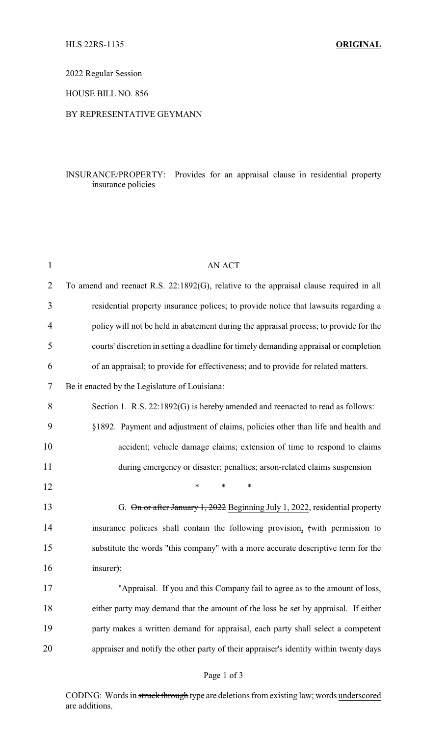2022 Regular Session

HOUSE BILL NO. 856

## BY REPRESENTATIVE GEYMANN

## INSURANCE/PROPERTY: Provides for an appraisal clause in residential property insurance policies

| 1              | <b>AN ACT</b>                                                                          |
|----------------|----------------------------------------------------------------------------------------|
| $\overline{2}$ | To amend and reenact R.S. 22:1892(G), relative to the appraisal clause required in all |
| 3              | residential property insurance polices; to provide notice that lawsuits regarding a    |
| 4              | policy will not be held in abatement during the appraisal process; to provide for the  |
| 5              | courts' discretion in setting a deadline for timely demanding appraisal or completion  |
| 6              | of an appraisal; to provide for effectiveness; and to provide for related matters.     |
| 7              | Be it enacted by the Legislature of Louisiana:                                         |
| 8              | Section 1. R.S. 22:1892(G) is hereby amended and reenacted to read as follows:         |
| 9              | §1892. Payment and adjustment of claims, policies other than life and health and       |
| 10             | accident; vehicle damage claims; extension of time to respond to claims                |
| 11             | during emergency or disaster; penalties; arson-related claims suspension               |
| 12             | *<br>$\ast$<br>$\ast$                                                                  |
| 13             | G. On or after January 1, 2022 Beginning July 1, 2022, residential property            |
| 14             | insurance policies shall contain the following provision, (with permission to          |
| 15             | substitute the words "this company" with a more accurate descriptive term for the      |
| 16             | insurer):                                                                              |
| 17             | "Appraisal. If you and this Company fail to agree as to the amount of loss,            |
| 18             | either party may demand that the amount of the loss be set by appraisal. If either     |
| 19             | party makes a written demand for appraisal, each party shall select a competent        |
| 20             | appraiser and notify the other party of their appraiser's identity within twenty days  |
|                |                                                                                        |

CODING: Words in struck through type are deletions from existing law; words underscored are additions.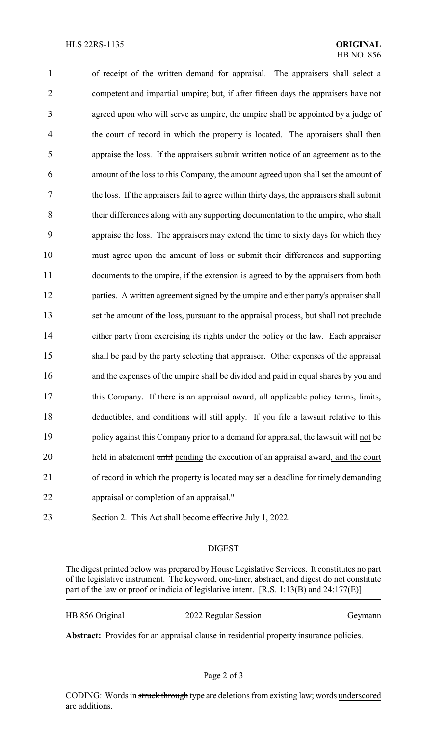of receipt of the written demand for appraisal. The appraisers shall select a competent and impartial umpire; but, if after fifteen days the appraisers have not agreed upon who will serve as umpire, the umpire shall be appointed by a judge of the court of record in which the property is located. The appraisers shall then appraise the loss. If the appraisers submit written notice of an agreement as to the amount of the loss to this Company, the amount agreed upon shall set the amount of the loss. If the appraisers fail to agree within thirty days, the appraisers shall submit their differences along with any supporting documentation to the umpire, who shall appraise the loss. The appraisers may extend the time to sixty days for which they must agree upon the amount of loss or submit their differences and supporting documents to the umpire, if the extension is agreed to by the appraisers from both 12 parties. A written agreement signed by the umpire and either party's appraiser shall set the amount of the loss, pursuant to the appraisal process, but shall not preclude 14 either party from exercising its rights under the policy or the law. Each appraiser shall be paid by the party selecting that appraiser. Other expenses of the appraisal and the expenses of the umpire shall be divided and paid in equal shares by you and this Company. If there is an appraisal award, all applicable policy terms, limits, deductibles, and conditions will still apply. If you file a lawsuit relative to this policy against this Company prior to a demand for appraisal, the lawsuit will not be 20 held in abatement until pending the execution of an appraisal award, and the court of record in which the property is located may set a deadline for timely demanding appraisal or completion of an appraisal." Section 2. This Act shall become effective July 1, 2022.

## **DIGEST**

The digest printed below was prepared by House Legislative Services. It constitutes no part of the legislative instrument. The keyword, one-liner, abstract, and digest do not constitute part of the law or proof or indicia of legislative intent. [R.S. 1:13(B) and 24:177(E)]

HB 856 Original 2022 Regular Session Geymann

Abstract: Provides for an appraisal clause in residential property insurance policies.

CODING: Words in struck through type are deletions from existing law; words underscored are additions.